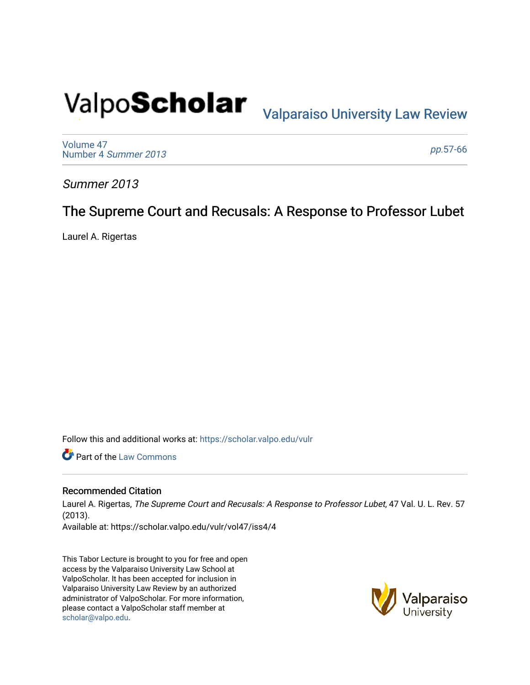# Valpo**Scholar** <sub>Valparaiso University Law Review</sub>

[Volume 47](https://scholar.valpo.edu/vulr/vol47) [Number 4](https://scholar.valpo.edu/vulr/vol47/iss4) Summer 2013

pp.[57-66](https://scholar.valpo.edu/vulr/vol47/iss4/4) 

Summer 2013

## The Supreme Court and Recusals: A Response to Professor Lubet

Laurel A. Rigertas

Follow this and additional works at: [https://scholar.valpo.edu/vulr](https://scholar.valpo.edu/vulr?utm_source=scholar.valpo.edu%2Fvulr%2Fvol47%2Fiss4%2F4&utm_medium=PDF&utm_campaign=PDFCoverPages)

**C** Part of the [Law Commons](http://network.bepress.com/hgg/discipline/578?utm_source=scholar.valpo.edu%2Fvulr%2Fvol47%2Fiss4%2F4&utm_medium=PDF&utm_campaign=PDFCoverPages)

#### Recommended Citation

Laurel A. Rigertas, The Supreme Court and Recusals: A Response to Professor Lubet, 47 Val. U. L. Rev. 57 (2013). Available at: https://scholar.valpo.edu/vulr/vol47/iss4/4

This Tabor Lecture is brought to you for free and open access by the Valparaiso University Law School at ValpoScholar. It has been accepted for inclusion in Valparaiso University Law Review by an authorized administrator of ValpoScholar. For more information, please contact a ValpoScholar staff member at [scholar@valpo.edu](mailto:scholar@valpo.edu).

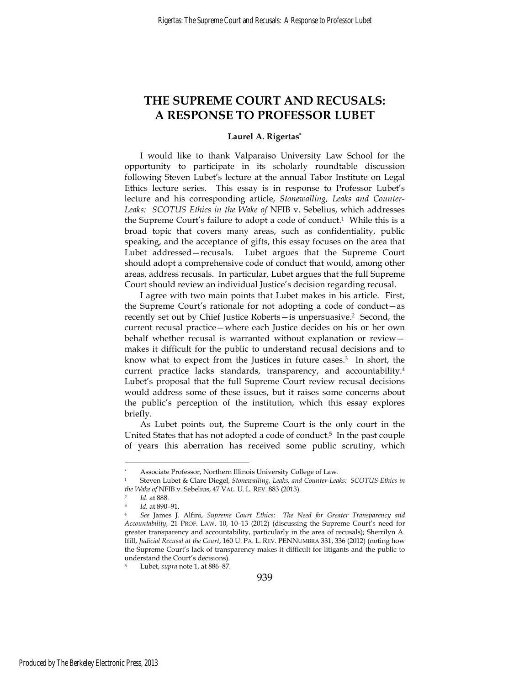### **THE SUPREME COURT AND RECUSALS: A RESPONSE TO PROFESSOR LUBET**

#### **Laurel A. Rigertas\***

I would like to thank Valparaiso University Law School for the opportunity to participate in its scholarly roundtable discussion following Steven Lubet's lecture at the annual Tabor Institute on Legal Ethics lecture series. This essay is in response to Professor Lubet's lecture and his corresponding article, *Stonewalling, Leaks and Counter-Leaks: SCOTUS Ethics in the Wake of* NFIB v. Sebelius, which addresses the Supreme Court's failure to adopt a code of conduct.<sup>1</sup> While this is a broad topic that covers many areas, such as confidentiality, public speaking, and the acceptance of gifts, this essay focuses on the area that Lubet addressed—recusals. Lubet argues that the Supreme Court should adopt a comprehensive code of conduct that would, among other areas, address recusals. In particular, Lubet argues that the full Supreme Court should review an individual Justice's decision regarding recusal.

I agree with two main points that Lubet makes in his article. First, the Supreme Court's rationale for not adopting a code of conduct—as recently set out by Chief Justice Roberts—is unpersuasive.2 Second, the current recusal practice—where each Justice decides on his or her own behalf whether recusal is warranted without explanation or review makes it difficult for the public to understand recusal decisions and to know what to expect from the Justices in future cases.3 In short, the current practice lacks standards, transparency, and accountability.4 Lubet's proposal that the full Supreme Court review recusal decisions would address some of these issues, but it raises some concerns about the public's perception of the institution, which this essay explores briefly.

As Lubet points out, the Supreme Court is the only court in the United States that has not adopted a code of conduct.<sup>5</sup> In the past couple of years this aberration has received some public scrutiny, which

<sup>\*</sup> Associate Professor, Northern Illinois University College of Law.

<sup>1</sup> Steven Lubet & Clare Diegel, *Stonewalling, Leaks, and Counter-Leaks: SCOTUS Ethics in the Wake of* NFIB v. Sebelius, 47 VAL. U. L. REV. 883 (2013). 2 *Id.* at 888. 3 *Id.* at 890–91. 4 *See* James J. Alfini, *Supreme Court Ethics: The Need for Greater Transparency and* 

*Accountability*, 21 PROF. LAW. 10, 10–13 (2012) (discussing the Supreme Court's need for greater transparency and accountability, particularly in the area of recusals); Sherrilyn A. Ifill, *Judicial Recusal at the Court*, 160 U. PA. L. REV. PENNUMBRA 331, 336 (2012) (noting how the Supreme Court's lack of transparency makes it difficult for litigants and the public to understand the Court's decisions).

<sup>5</sup> Lubet, *supra* note 1, at 886–87.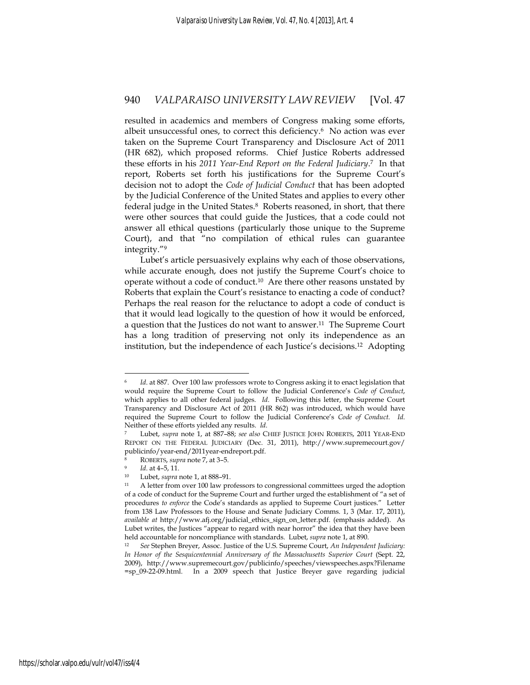resulted in academics and members of Congress making some efforts, albeit unsuccessful ones, to correct this deficiency.6 No action was ever taken on the Supreme Court Transparency and Disclosure Act of 2011 (HR 682), which proposed reforms. Chief Justice Roberts addressed these efforts in his *2011 Year-End Report on the Federal Judiciary*. 7 In that report, Roberts set forth his justifications for the Supreme Court's decision not to adopt the *Code of Judicial Conduct* that has been adopted by the Judicial Conference of the United States and applies to every other federal judge in the United States.8 Roberts reasoned, in short, that there were other sources that could guide the Justices, that a code could not answer all ethical questions (particularly those unique to the Supreme Court), and that "no compilation of ethical rules can guarantee integrity."9

Lubet's article persuasively explains why each of those observations, while accurate enough, does not justify the Supreme Court's choice to operate without a code of conduct.10 Are there other reasons unstated by Roberts that explain the Court's resistance to enacting a code of conduct? Perhaps the real reason for the reluctance to adopt a code of conduct is that it would lead logically to the question of how it would be enforced, a question that the Justices do not want to answer.11 The Supreme Court has a long tradition of preserving not only its independence as an institution, but the independence of each Justice's decisions.12 Adopting

*Id.* at 887. Over 100 law professors wrote to Congress asking it to enact legislation that would require the Supreme Court to follow the Judicial Conference's *Code of Conduct*, which applies to all other federal judges. *Id*. Following this letter, the Supreme Court Transparency and Disclosure Act of 2011 (HR 862) was introduced, which would have required the Supreme Court to follow the Judicial Conference's *Code of Conduct*. *Id*.

Neither of these efforts yielded any results. *Id*. 7 Lubet, *supra* note 1, at 887–88; *see also* CHIEF JUSTICE JOHN ROBERTS, 2011 YEAR-END REPORT ON THE FEDERAL JUDICIARY (Dec. 31, 2011), http://www.supremecourt.gov/ publicinfo/year-end/2011year-endreport.pdf.

<sup>8</sup> ROBERTS, *supra* note 7, at 3–5.<br>
<sup>9</sup> *Id.* at 4–5, 11.<br>
<sup>10</sup> Lubet, *supra* note 1, at 888–91.<br>
<sup>11</sup> A letter from over 100 law professors to congressional committees urged the adoption of a code of conduct for the Supreme Court and further urged the establishment of "a set of procedures *to enforce* the Code's standards as applied to Supreme Court justices." Letter from 138 Law Professors to the House and Senate Judiciary Comms. 1, 3 (Mar. 17, 2011), *available at* http://www.afj.org/judicial\_ethics\_sign\_on\_letter.pdf. (emphasis added). As Lubet writes, the Justices "appear to regard with near horror" the idea that they have been held accountable for noncompliance with standards. Lubet, *supra* note 1, at 890. 12 *See* Stephen Breyer, Assoc. Justice of the U.S. Supreme Court, *An Independent Judiciary:* 

*In Honor of the Sesquicentennial Anniversary of the Massachusetts Superior Court* (Sept. 22, 2009), http://www.supremecourt.gov/publicinfo/speeches/viewspeeches.aspx?Filename =sp\_09-22-09.html. In a 2009 speech that Justice Breyer gave regarding judicial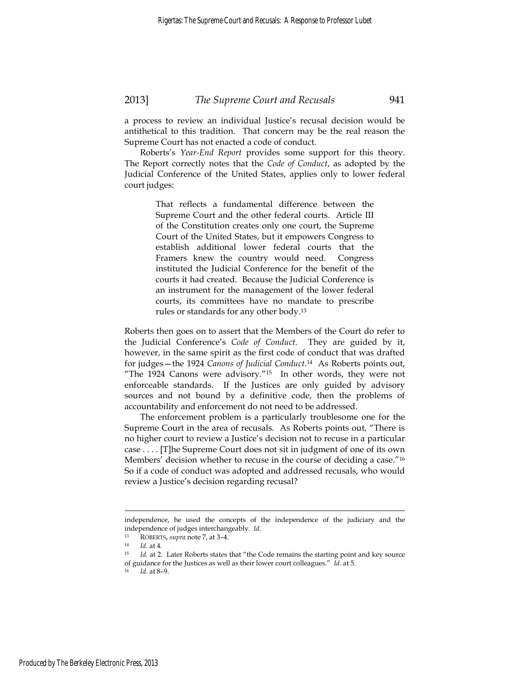a process to review an individual Justice's recusal decision would be antithetical to this tradition. That concern may be the real reason the Supreme Court has not enacted a code of conduct.

Roberts's *Year-End Report* provides some support for this theory. The Report correctly notes that the *Code of Conduct*, as adopted by the Judicial Conference of the United States, applies only to lower federal court judges:

> That reflects a fundamental difference between the Supreme Court and the other federal courts. Article III of the Constitution creates only one court, the Supreme Court of the United States, but it empowers Congress to establish additional lower federal courts that the Framers knew the country would need. Congress instituted the Judicial Conference for the benefit of the courts it had created. Because the Judicial Conference is an instrument for the management of the lower federal courts, its committees have no mandate to prescribe rules or standards for any other body.13

Roberts then goes on to assert that the Members of the Court do refer to the Judicial Conference's *Code of Conduct*. They are guided by it, however, in the same spirit as the first code of conduct that was drafted for judges—the 1924 *Canons of Judicial Conduct*. 14 As Roberts points out, "The 1924 Canons were advisory."15 In other words, they were not enforceable standards. If the Justices are only guided by advisory sources and not bound by a definitive code, then the problems of accountability and enforcement do not need to be addressed.

The enforcement problem is a particularly troublesome one for the Supreme Court in the area of recusals. As Roberts points out, "There is no higher court to review a Justice's decision not to recuse in a particular case . . . . [T]he Supreme Court does not sit in judgment of one of its own Members' decision whether to recuse in the course of deciding a case."16 So if a code of conduct was adopted and addressed recusals, who would review a Justice's decision regarding recusal?

independence, he used the concepts of the independence of the judiciary and the independence of judges interchangeably. *Id*.<br><sup>13</sup> ROBERTS, *supra* note 7, at 3–4.<br><sup>14</sup> *Id*. at 4.<br>*Id.* at 2. Later Roberts states that "the Code remains the starting point and key source

of guidance for the Justices as well as their lower court colleagues." *Id*. at 5. 16 *Id*. at 8–9.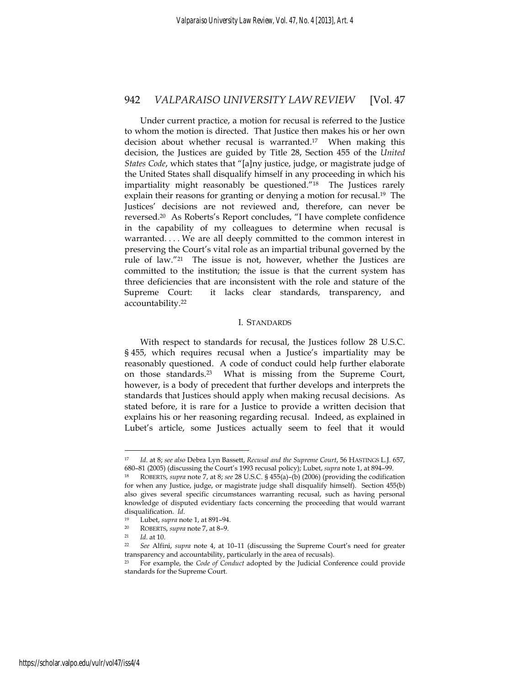Under current practice, a motion for recusal is referred to the Justice to whom the motion is directed. That Justice then makes his or her own decision about whether recusal is warranted.17 When making this decision, the Justices are guided by Title 28, Section 455 of the *United States Code*, which states that "[a]ny justice, judge, or magistrate judge of the United States shall disqualify himself in any proceeding in which his impartiality might reasonably be questioned."18 The Justices rarely explain their reasons for granting or denying a motion for recusal.<sup>19</sup> The Justices' decisions are not reviewed and, therefore, can never be reversed.20 As Roberts's Report concludes, "I have complete confidence in the capability of my colleagues to determine when recusal is warranted. . . . We are all deeply committed to the common interest in preserving the Court's vital role as an impartial tribunal governed by the rule of law."21 The issue is not, however, whether the Justices are committed to the institution; the issue is that the current system has three deficiencies that are inconsistent with the role and stature of the Supreme Court: it lacks clear standards, transparency, and accountability.22

#### I. STANDARDS

With respect to standards for recusal, the Justices follow 28 U.S.C. § 455, which requires recusal when a Justice's impartiality may be reasonably questioned. A code of conduct could help further elaborate on those standards.23 What is missing from the Supreme Court, however, is a body of precedent that further develops and interprets the standards that Justices should apply when making recusal decisions. As stated before, it is rare for a Justice to provide a written decision that explains his or her reasoning regarding recusal. Indeed, as explained in Lubet's article, some Justices actually seem to feel that it would

<sup>17</sup> *Id*. at 8; *see also* Debra Lyn Bassett, *Recusal and the Supreme Court*, 56 HASTINGS L.J. 657, 680–81 (2005) (discussing the Court's 1993 recusal policy); Lubet, *supra* note 1, at 894–99. 18 ROBERTS, *supra* note 7, at 8; *see* 28 U.S.C. § 455(a)–(b) (2006) (providing the codification

for when any Justice, judge, or magistrate judge shall disqualify himself). Section 455(b) also gives several specific circumstances warranting recusal, such as having personal knowledge of disputed evidentiary facts concerning the proceeding that would warrant disqualification. *Id.*<br>
<sup>19</sup> Lubet, *supra* note 1, at 891–94.<br>
<sup>20</sup> ROBERTS, *supra* note 7, at 8–9.<br>
<sup>21</sup> *Id.* at 10.<br>
<sup>22</sup> *See* Alfini, *supra* note 4, at 10–11 (discussing the Supreme Court's need for greater

transparency and accountability, particularly in the area of recusals).

<sup>23</sup> For example, the *Code of Conduct* adopted by the Judicial Conference could provide standards for the Supreme Court.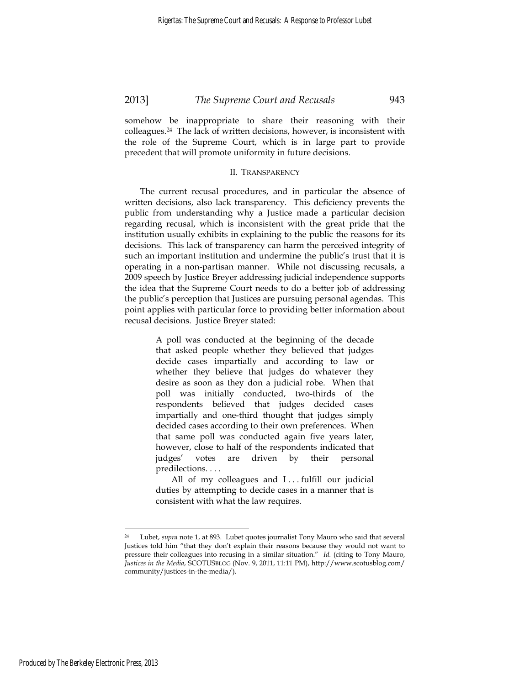somehow be inappropriate to share their reasoning with their colleagues.24 The lack of written decisions, however, is inconsistent with the role of the Supreme Court, which is in large part to provide precedent that will promote uniformity in future decisions.

#### II. TRANSPARENCY

The current recusal procedures, and in particular the absence of written decisions, also lack transparency. This deficiency prevents the public from understanding why a Justice made a particular decision regarding recusal, which is inconsistent with the great pride that the institution usually exhibits in explaining to the public the reasons for its decisions. This lack of transparency can harm the perceived integrity of such an important institution and undermine the public's trust that it is operating in a non-partisan manner. While not discussing recusals, a 2009 speech by Justice Breyer addressing judicial independence supports the idea that the Supreme Court needs to do a better job of addressing the public's perception that Justices are pursuing personal agendas. This point applies with particular force to providing better information about recusal decisions. Justice Breyer stated:

> A poll was conducted at the beginning of the decade that asked people whether they believed that judges decide cases impartially and according to law or whether they believe that judges do whatever they desire as soon as they don a judicial robe. When that poll was initially conducted, two-thirds of the respondents believed that judges decided cases impartially and one-third thought that judges simply decided cases according to their own preferences. When that same poll was conducted again five years later, however, close to half of the respondents indicated that judges' votes are driven by their personal predilections. . . .

> All of my colleagues and I... fulfill our judicial duties by attempting to decide cases in a manner that is consistent with what the law requires.

Lubet, *supra* note 1, at 893. Lubet quotes journalist Tony Mauro who said that several Justices told him "that they don't explain their reasons because they would not want to pressure their colleagues into recusing in a similar situation." *Id.* (citing to Tony Mauro, *Justices in the Media*, SCOTUSBLOG (Nov. 9, 2011, 11:11 PM), http://www.scotusblog.com/ community/justices-in-the-media/).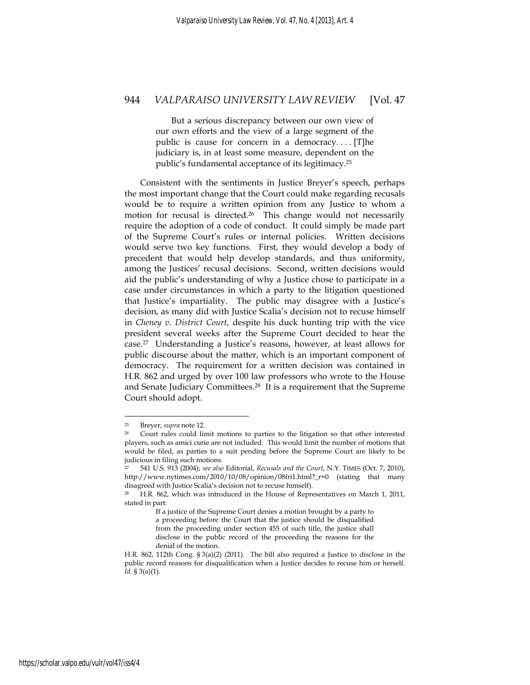But a serious discrepancy between our own view of our own efforts and the view of a large segment of the public is cause for concern in a democracy.... [T]he judiciary is, in at least some measure, dependent on the public's fundamental acceptance of its legitimacy.25

Consistent with the sentiments in Justice Breyer's speech, perhaps the most important change that the Court could make regarding recusals would be to require a written opinion from any Justice to whom a motion for recusal is directed.<sup>26</sup> This change would not necessarily require the adoption of a code of conduct. It could simply be made part of the Supreme Court's rules or internal policies. Written decisions would serve two key functions. First, they would develop a body of precedent that would help develop standards, and thus uniformity, among the Justices' recusal decisions. Second, written decisions would aid the public's understanding of why a Justice chose to participate in a case under circumstances in which a party to the litigation questioned that Justice's impartiality. The public may disagree with a Justice's decision, as many did with Justice Scalia's decision not to recuse himself in *Cheney v. District Court*, despite his duck hunting trip with the vice president several weeks after the Supreme Court decided to hear the case.27 Understanding a Justice's reasons, however, at least allows for public discourse about the matter, which is an important component of democracy. The requirement for a written decision was contained in H.R. 862 and urged by over 100 law professors who wrote to the House and Senate Judiciary Committees.28 It is a requirement that the Supreme Court should adopt.

<sup>&</sup>lt;sup>25</sup> Breyer, *supra* note 12.<br><sup>26</sup> Court rules could limit motions to parties to the litigation so that other interested players, such as amici curie are not included. This would limit the number of motions that would be filed, as parties to a suit pending before the Supreme Court are likely to be judicious in filing such motions.

<sup>27 541</sup> U.S. 913 (2004); *see also* Editorial, *Recusals and the Court*, N.Y. TIMES (Oct. 7, 2010), http://www.nytimes.com/2010/10/08/opinion/08fri1.html?\_r=0 (stating that many disagreed with Justice Scalia's decision not to recuse himself).

<sup>28</sup> H.R. 862, which was introduced in the House of Representatives on March 1, 2011, stated in part:

If a justice of the Supreme Court denies a motion brought by a party to a proceeding before the Court that the justice should be disqualified from the proceeding under section 455 of such title, the justice shall disclose in the public record of the proceeding the reasons for the denial of the motion.

H.R. 862, 112th Cong. § 3(a)(2) (2011). The bill also required a Justice to disclose in the public record reasons for disqualification when a Justice decides to recuse him or herself. *Id.* § 3(a)(1).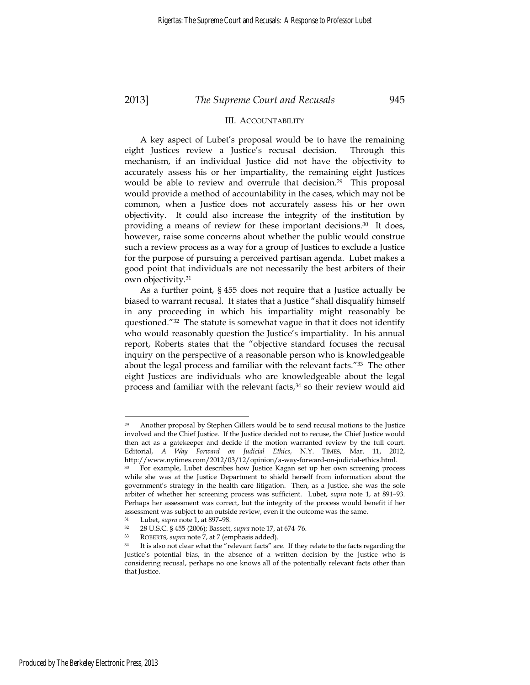#### III. ACCOUNTABILITY

A key aspect of Lubet's proposal would be to have the remaining eight Justices review a Justice's recusal decision. Through this mechanism, if an individual Justice did not have the objectivity to accurately assess his or her impartiality, the remaining eight Justices would be able to review and overrule that decision.29 This proposal would provide a method of accountability in the cases, which may not be common, when a Justice does not accurately assess his or her own objectivity. It could also increase the integrity of the institution by providing a means of review for these important decisions.30 It does, however, raise some concerns about whether the public would construe such a review process as a way for a group of Justices to exclude a Justice for the purpose of pursuing a perceived partisan agenda. Lubet makes a good point that individuals are not necessarily the best arbiters of their own objectivity.31

As a further point, § 455 does not require that a Justice actually be biased to warrant recusal. It states that a Justice "shall disqualify himself in any proceeding in which his impartiality might reasonably be questioned."32 The statute is somewhat vague in that it does not identify who would reasonably question the Justice's impartiality. In his annual report, Roberts states that the "objective standard focuses the recusal inquiry on the perspective of a reasonable person who is knowledgeable about the legal process and familiar with the relevant facts."33 The other eight Justices are individuals who are knowledgeable about the legal process and familiar with the relevant facts,<sup>34</sup> so their review would aid

<sup>29</sup> Another proposal by Stephen Gillers would be to send recusal motions to the Justice involved and the Chief Justice. If the Justice decided not to recuse, the Chief Justice would then act as a gatekeeper and decide if the motion warranted review by the full court. Editorial, *A Way Forward on Judicial Ethics*, N.Y. TIMES, Mar. 11, 2012, http://www.nytimes.com/2012/03/12/opinion/a-way-forward-on-judicial-ethics.html.

<sup>30</sup> For example, Lubet describes how Justice Kagan set up her own screening process while she was at the Justice Department to shield herself from information about the government's strategy in the health care litigation. Then, as a Justice, she was the sole arbiter of whether her screening process was sufficient. Lubet, *supra* note 1, at 891–93. Perhaps her assessment was correct, but the integrity of the process would benefit if her assessment was subject to an outside review, even if the outcome was the same.

<sup>&</sup>lt;sup>31</sup> Lubet, *supra* note 1, at 897–98.<br>
<sup>32</sup> 28 U.S.C. § 455 (2006); Bassett, *supra* note 17, at 674–76.<br>
<sup>33</sup> ROBERTS, *supra* note 7, at 7 (emphasis added).<br>
<sup>34</sup> It is also not clear what the "relevant facts" are. If Justice's potential bias, in the absence of a written decision by the Justice who is considering recusal, perhaps no one knows all of the potentially relevant facts other than that Justice.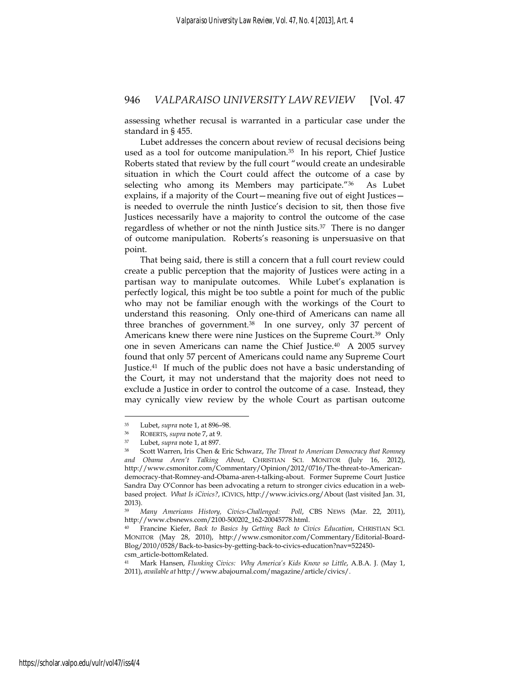assessing whether recusal is warranted in a particular case under the standard in § 455.

Lubet addresses the concern about review of recusal decisions being used as a tool for outcome manipulation.35 In his report, Chief Justice Roberts stated that review by the full court "would create an undesirable situation in which the Court could affect the outcome of a case by selecting who among its Members may participate."<sup>36</sup> As Lubet explains, if a majority of the Court—meaning five out of eight Justices is needed to overrule the ninth Justice's decision to sit, then those five Justices necessarily have a majority to control the outcome of the case regardless of whether or not the ninth Justice sits.37 There is no danger of outcome manipulation. Roberts's reasoning is unpersuasive on that point.

That being said, there is still a concern that a full court review could create a public perception that the majority of Justices were acting in a partisan way to manipulate outcomes. While Lubet's explanation is perfectly logical, this might be too subtle a point for much of the public who may not be familiar enough with the workings of the Court to understand this reasoning. Only one-third of Americans can name all three branches of government.<sup>38</sup> In one survey, only 37 percent of Americans knew there were nine Justices on the Supreme Court.39 Only one in seven Americans can name the Chief Justice.40 A 2005 survey found that only 57 percent of Americans could name any Supreme Court Justice.41 If much of the public does not have a basic understanding of the Court, it may not understand that the majority does not need to exclude a Justice in order to control the outcome of a case. Instead, they may cynically view review by the whole Court as partisan outcome

<sup>35</sup> Lubet, *supra* note 1, at 896–98. 36 ROBERTS, *supra* note 7, at 9. 37 Lubet, *supra* note 1, at 897. 38 Scott Warren, Iris Chen & Eric Schwarz, *The Threat to American Democracy that Romney and Obama Aren't Talking About*, CHRISTIAN SCI. MONITOR (July 16, 2012), http://www.csmonitor.com/Commentary/Opinion/2012/0716/The-threat-to-Americandemocracy-that-Romney-and-Obama-aren-t-talking-about. Former Supreme Court Justice Sandra Day O'Connor has been advocating a return to stronger civics education in a webbased project. *What Is iCivics?*, ICIVICS, http://www.icivics.org/About (last visited Jan. 31, 2013).

<sup>39</sup> *Many Americans History, Civics-Challenged: Poll*, CBS NEWS (Mar. 22, 2011), http://www.cbsnews.com/2100-500202\_162-20045778.html.

<sup>40</sup> Francine Kiefer, *Back to Basics by Getting Back to Civics Education*, CHRISTIAN SCI. MONITOR (May 28, 2010), http://www.csmonitor.com/Commentary/Editorial-Board-Blog/2010/0528/Back-to-basics-by-getting-back-to-civics-education?nav=522450 csm\_article-bottomRelated.

<sup>41</sup> Mark Hansen, *Flunking Civics: Why America's Kids Know so Little*, A.B.A. J. (May 1, 2011), *available at* http://www.abajournal.com/magazine/article/civics/.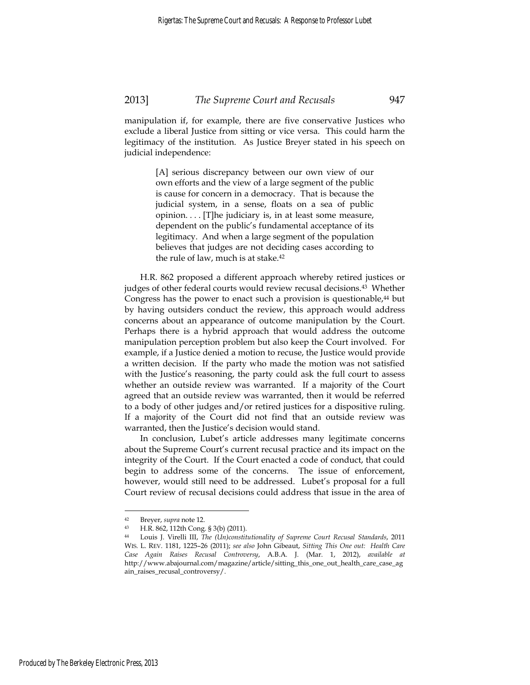manipulation if, for example, there are five conservative Justices who exclude a liberal Justice from sitting or vice versa. This could harm the legitimacy of the institution. As Justice Breyer stated in his speech on judicial independence:

> [A] serious discrepancy between our own view of our own efforts and the view of a large segment of the public is cause for concern in a democracy. That is because the judicial system, in a sense, floats on a sea of public opinion. . . . [T]he judiciary is, in at least some measure, dependent on the public's fundamental acceptance of its legitimacy. And when a large segment of the population believes that judges are not deciding cases according to the rule of law, much is at stake.<sup>42</sup>

H.R. 862 proposed a different approach whereby retired justices or judges of other federal courts would review recusal decisions.<sup>43</sup> Whether Congress has the power to enact such a provision is questionable,<sup>44</sup> but by having outsiders conduct the review, this approach would address concerns about an appearance of outcome manipulation by the Court. Perhaps there is a hybrid approach that would address the outcome manipulation perception problem but also keep the Court involved. For example, if a Justice denied a motion to recuse, the Justice would provide a written decision. If the party who made the motion was not satisfied with the Justice's reasoning, the party could ask the full court to assess whether an outside review was warranted. If a majority of the Court agreed that an outside review was warranted, then it would be referred to a body of other judges and/or retired justices for a dispositive ruling. If a majority of the Court did not find that an outside review was warranted, then the Justice's decision would stand.

In conclusion, Lubet's article addresses many legitimate concerns about the Supreme Court's current recusal practice and its impact on the integrity of the Court. If the Court enacted a code of conduct, that could begin to address some of the concerns. The issue of enforcement, however, would still need to be addressed. Lubet's proposal for a full Court review of recusal decisions could address that issue in the area of

<sup>42</sup> Breyer, *supra* note 12. 43 H.R. 862, 112th Cong. § 3(b) (2011).

<sup>44</sup> Louis J. Virelli III, *The (Un)constitutionality of Supreme Court Recusal Standards*, 2011 WIS. L. REV. 1181, 1225–26 (2011); *see also* John Gibeaut, *Sitting This One out: Health Care Case Again Raises Recusal Controversy*, A.B.A. J. (Mar. 1, 2012), *available at* http://www.abajournal.com/magazine/article/sitting\_this\_one\_out\_health\_care\_case\_ag ain\_raises\_recusal\_controversy/.